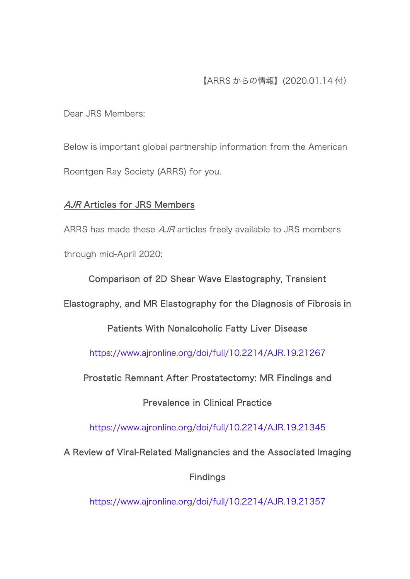Dear JRS Members:

Below is important global partnership information from the American Roentgen Ray Society (ARRS) for you.

# AJR Articles for JRS Members

ARRS has made these *AJR* articles freely available to JRS members through mid-April 2020:

Comparison of 2D Shear Wave Elastography, Transient

Elastography, and MR Elastography for the Diagnosis of Fibrosis in

Patients With Nonalcoholic Fatty Liver Disease

<https://www.ajronline.org/doi/full/10.2214/AJR.19.21267>

Prostatic Remnant After Prostatectomy: MR Findings and

Prevalence in Clinical Practice

<https://www.ajronline.org/doi/full/10.2214/AJR.19.21345>

A Review of Viral-Related Malignancies and the Associated Imaging

Findings

<https://www.ajronline.org/doi/full/10.2214/AJR.19.21357>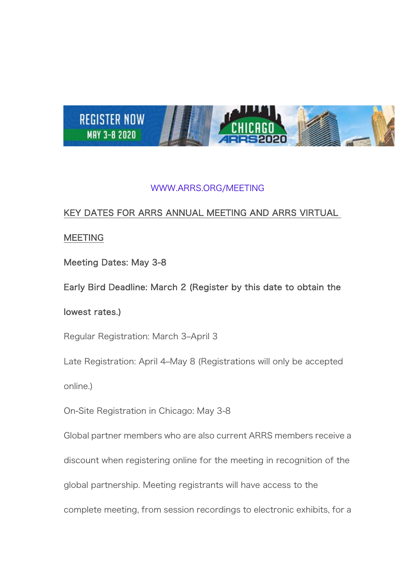

## [WWW.ARRS.ORG/MEETING](https://www.arrs.org/AM20)

# KEY DATES FOR ARRS ANNUAL MEETING AND ARRS VIRTUAL

## **MEETING**

Meeting Dates: May 3-8

Early Bird Deadline: March 2 (Register by this date to obtain the

### lowest rates.)

Regular Registration: March 3–April 3

Late Registration: April 4–May 8 (Registrations will only be accepted

online.)

On-Site Registration in Chicago: May 3-8

Global partner members who are also current ARRS members receive a

discount when registering online for the meeting in recognition of the

global partnership. Meeting registrants will have access to the

complete meeting, from session recordings to electronic exhibits, for a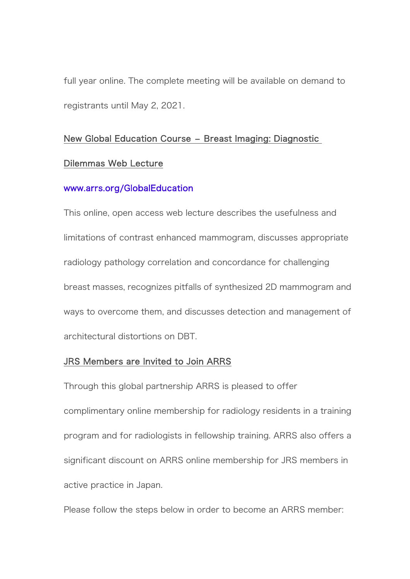full year online. The complete meeting will be available on demand to registrants until May 2, 2021.

### New Global Education Course – Breast Imaging: Diagnostic

#### Dilemmas Web Lecture

#### [www.arrs.org/GlobalEducation](https://www.arrs.org/GlobalEducation)

This online, open access web lecture describes the usefulness and limitations of contrast enhanced mammogram, discusses appropriate radiology pathology correlation and concordance for challenging breast masses, recognizes pitfalls of synthesized 2D mammogram and ways to overcome them, and discusses detection and management of architectural distortions on DBT.

### JRS Members are Invited to Join ARRS

Through this global partnership ARRS is pleased to offer complimentary online membership for radiology residents in a training program and for radiologists in fellowship training. ARRS also offers a significant discount on ARRS online membership for JRS members in active practice in Japan.

Please follow the steps below in order to become an ARRS member: